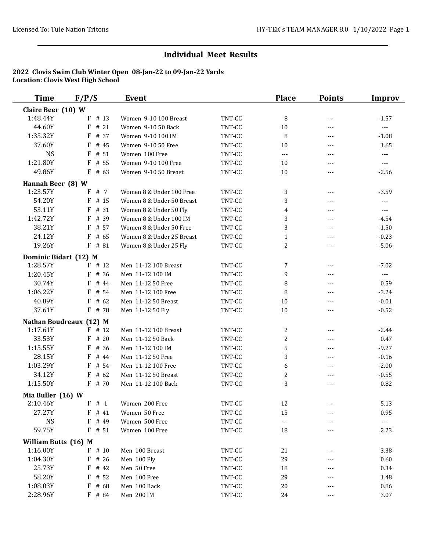| <b>Time</b>           | F/P/S                   | <b>Event</b>              |        | <b>Place</b>   | <b>Points</b>       | <b>Improv</b>        |
|-----------------------|-------------------------|---------------------------|--------|----------------|---------------------|----------------------|
| Claire Beer (10) W    |                         |                           |        |                |                     |                      |
| 1:48.44Y              | # 13<br>F               | Women 9-10 100 Breast     | TNT-CC | 8              | $\qquad \qquad - -$ | $-1.57$              |
| 44.60Y                | # 21<br>F               | Women 9-10 50 Back        | TNT-CC | 10             | $---$               | $\overline{a}$       |
| 1:35.32Y              | F<br># 37               | Women 9-10 100 IM         | TNT-CC | 8              | $\qquad \qquad - -$ | $-1.08$              |
| 37.60Y                | $F$ # 45                | Women 9-10 50 Free        | TNT-CC | 10             | $---$               | 1.65                 |
| <b>NS</b>             | F<br># 51               | Women 100 Free            | TNT-CC | ---            | ---                 | $\overline{a}$       |
| 1:21.80Y              | F<br># 55               | Women 9-10 100 Free       | TNT-CC | 10             | ---                 | $\sim$ $\sim$        |
| 49.86Y                | $F$ # 63                | Women 9-10 50 Breast      | TNT-CC | $10\,$         | $---$               | $-2.56$              |
| Hannah Beer (8) W     |                         |                           |        |                |                     |                      |
| 1:23.57Y              | # 7<br>F                | Women 8 & Under 100 Free  | TNT-CC | 3              | $---$               | $-3.59$              |
| 54.20Y                | $F$ # 15                | Women 8 & Under 50 Breast | TNT-CC | 3              | $---$               | $\sim$ $\sim$        |
| 53.11Y                | $F$ # 31                | Women 8 & Under 50 Fly    | TNT-CC | $\overline{4}$ | $---$               | $\sim$ $\sim$ $\sim$ |
| 1:42.72Y              | # 39<br>F               | Women 8 & Under 100 IM    | TNT-CC | 3              | $---$               | $-4.54$              |
| 38.21Y                | # 57<br>F               | Women 8 & Under 50 Free   | TNT-CC | 3              | $\qquad \qquad - -$ | $-1.50$              |
| 24.12Y                | F<br># 65               | Women 8 & Under 25 Breast | TNT-CC | $\mathbf{1}$   | $\qquad \qquad - -$ | $-0.23$              |
| 19.26Y                | F # 81                  | Women 8 & Under 25 Fly    | TNT-CC | $\overline{c}$ | $\qquad \qquad - -$ | $-5.06$              |
| Dominic Bidart (12) M |                         |                           |        |                |                     |                      |
| 1:28.57Y              | $F$ # 12                | Men 11-12 100 Breast      | TNT-CC | 7              | $\qquad \qquad - -$ | $-7.02$              |
| 1:20.45Y              | F # 36                  | Men 11-12 100 IM          | TNT-CC | 9              | $---$               | $\sim$ $\sim$        |
| 30.74Y                | F<br># 44               | Men 11-12 50 Free         | TNT-CC | 8              | $---$               | 0.59                 |
| 1:06.22Y              | $F$ # 54                | Men 11-12 100 Free        | TNT-CC | 8              | ---                 | $-3.24$              |
| 40.89Y                | # 62<br>F               | Men 11-12 50 Breast       | TNT-CC | 10             | $\qquad \qquad - -$ | $-0.01$              |
| 37.61Y                | $F$ # 78                | Men 11-12 50 Fly          | TNT-CC | 10             | $---$               | $-0.52$              |
|                       | Nathan Boudreaux (12) M |                           |        |                |                     |                      |
| 1:17.61Y              | $F$ # 12                | Men 11-12 100 Breast      | TNT-CC | 2              | $\qquad \qquad - -$ | $-2.44$              |
| 33.53Y                | $F$ # 20                | Men 11-12 50 Back         | TNT-CC | $\overline{c}$ | $---$               | 0.47                 |
| 1:15.55Y              | # 36<br>F               | Men 11-12 100 IM          | TNT-CC | 5              | $---$               | $-9.27$              |
| 28.15Y                | F<br># 44               | Men 11-12 50 Free         | TNT-CC | 3              | $---$               | $-0.16$              |
| 1:03.29Y              | F<br># 54               | Men 11-12 100 Free        | TNT-CC | 6              | $---$               | $-2.00$              |
| 34.12Y                | $F$ # 62                | Men 11-12 50 Breast       | TNT-CC | $\overline{c}$ | $---$               | $-0.55$              |
| 1:15.50Y              | $F$ # 70                | Men 11-12 100 Back        | TNT-CC | 3              | $\qquad \qquad - -$ | 0.82                 |
| Mia Buller (16) W     |                         |                           |        |                |                     |                      |
| 2:10.46Y              | F # 1                   | Women 200 Free            | TNT-CC | 12             |                     | 5.13                 |
| 27.27Y                | $F$ # 41                | Women 50 Free             | TNT-CC | 15             |                     | 0.95                 |
| <b>NS</b>             | $F$ # 49                | Women 500 Free            | TNT-CC | ---            |                     | $\sim$ $\sim$        |
| 59.75Y                | $F$ # 51                | Women 100 Free            | TNT-CC | 18             |                     | 2.23                 |
| William Butts (16) M  |                         |                           |        |                |                     |                      |
| 1:16.00Y              | $F$ # 10                | Men 100 Breast            | TNT-CC | 21             |                     | 3.38                 |
| 1:04.30Y              | $F$ # 26                | Men 100 Fly               | TNT-CC | 29             |                     | 0.60                 |
| 25.73Y                | $F$ # 42                | Men 50 Free               | TNT-CC | 18             |                     | 0.34                 |
| 58.20Y                | $F$ # 52                | Men 100 Free              | TNT-CC | 29             |                     | 1.48                 |
| 1:08.03Y              | # 68<br>F               | Men 100 Back              | TNT-CC | 20             |                     | 0.86                 |
| 2:28.96Y              | $F$ # 84                | Men 200 IM                | TNT-CC | 24             |                     | 3.07                 |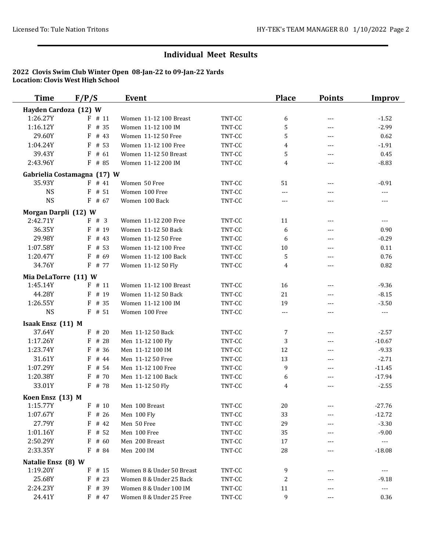| <b>Time</b>           | F/P/S                       | <b>Event</b>              |        | <b>Place</b> | <b>Points</b>       | Improv                                 |
|-----------------------|-----------------------------|---------------------------|--------|--------------|---------------------|----------------------------------------|
| Hayden Cardoza (12) W |                             |                           |        |              |                     |                                        |
| 1:26.27Y              | $F$ # 11                    | Women 11-12 100 Breast    | TNT-CC | 6            | $\qquad \qquad - -$ | $-1.52$                                |
| 1:16.12Y              | $F$ # 35                    | Women 11-12 100 IM        | TNT-CC | 5            | ---                 | $-2.99$                                |
| 29.60Y                | $F$ # 43                    | Women 11-12 50 Free       | TNT-CC | 5            | $---$               | 0.62                                   |
| 1:04.24Y              | $F$ # 53                    | Women 11-12 100 Free      | TNT-CC | 4            | $---$               | $-1.91$                                |
| 39.43Y                | F<br># 61                   | Women 11-12 50 Breast     | TNT-CC | 5            | $- - -$             | 0.45                                   |
| 2:43.96Y              | $F$ # 85                    | Women 11-12 200 IM        | TNT-CC | 4            | $---$               | $-8.83$                                |
|                       | Gabrielia Costamagna (17) W |                           |        |              |                     |                                        |
| 35.93Y                | $F$ # 41                    | Women 50 Free             | TNT-CC | 51           |                     | $-0.91$                                |
| <b>NS</b>             | $F$ # 51                    | Women 100 Free            | TNT-CC | ---          | $\overline{a}$      | $\overline{a}$                         |
| <b>NS</b>             | $F$ # 67                    | Women 100 Back            | TNT-CC | $\cdots$     | ---                 | $- - -$                                |
| Morgan Darpli (12) W  |                             |                           |        |              |                     |                                        |
| 2:42.71Y              | F # 3                       | Women 11-12 200 Free      | TNT-CC | 11           | $---$               | $\frac{1}{2}$                          |
| 36.35Y                | $F$ # 19                    | Women 11-12 50 Back       | TNT-CC | 6            | ---                 | 0.90                                   |
| 29.98Y                | F<br># 43                   | Women 11-12 50 Free       | TNT-CC | 6            | $- - -$             | $-0.29$                                |
| 1:07.58Y              | F<br># 53                   | Women 11-12 100 Free      | TNT-CC | 10           | $---$               | 0.11                                   |
| 1:20.47Y              | # 69<br>F                   | Women 11-12 100 Back      | TNT-CC | 5            | ---                 | 0.76                                   |
| 34.76Y                | F # 77                      | Women 11-12 50 Fly        | TNT-CC | 4            | $---$               | 0.82                                   |
| Mia DeLaTorre (11) W  |                             |                           |        |              |                     |                                        |
| 1:45.14Y              | $F$ # 11                    | Women 11-12 100 Breast    | TNT-CC | 16           | $\qquad \qquad - -$ | $-9.36$                                |
| 44.28Y                | $F$ # 19                    | Women 11-12 50 Back       | TNT-CC | 21           | ---                 | $-8.15$                                |
| 1:26.55Y              | $F$ # 35                    | Women 11-12 100 IM        | TNT-CC | 19           | $---$               | $-3.50$                                |
| <b>NS</b>             | $F$ # 51                    | Women 100 Free            | TNT-CC | $\cdots$     | ---                 | $\cdots$                               |
| Isaak Ensz (11) M     |                             |                           |        |              |                     |                                        |
| 37.64Y                | $F$ # 20                    | Men 11-12 50 Back         | TNT-CC | 7            | $---$               | $-2.57$                                |
| 1:17.26Y              | F # 28                      | Men 11-12 100 Fly         | TNT-CC | 3            | $\cdots$            | $-10.67$                               |
| 1:23.74Y              | $F$ # 36                    | Men 11-12 100 IM          | TNT-CC | 12           | $---$               | $-9.33$                                |
| 31.61Y                | $F$ # 44                    | Men 11-12 50 Free         | TNT-CC | 13           | $---$               | $-2.71$                                |
| 1:07.29Y              | # 54<br>F                   | Men 11-12 100 Free        | TNT-CC | 9            | $---$               | $-11.45$                               |
| 1:20.38Y              | F # 70                      | Men 11-12 100 Back        | TNT-CC | 6            | $---$               | $-17.94$                               |
| 33.01Y                | $F$ # 78                    | Men 11-12 50 Fly          | TNT-CC | 4            | $---$               | $-2.55$                                |
| Koen Ensz (13) M      |                             |                           |        |              |                     |                                        |
| 1:15.77Y              |                             | F # 10 Men 100 Breast     | TNT-CC | $20\,$       | $\qquad \qquad - -$ | $-27.76$                               |
| 1:07.67Y              | # 26<br>F                   | Men 100 Fly               | TNT-CC | 33           | $---$               | $-12.72$                               |
| 27.79Y                | $F$ # 42                    | Men 50 Free               | TNT-CC | 29           |                     | $-3.30$                                |
| 1:01.16Y              | $F$ # 52                    | Men 100 Free              | TNT-CC | 35           | ---                 | $-9.00$                                |
| 2:50.29Y              | $F$ # 60                    | Men 200 Breast            | TNT-CC | 17           |                     | $\scriptstyle \cdots$                  |
| 2:33.35Y              | $F$ # 84                    | Men 200 IM                | TNT-CC | 28           |                     | $-18.08$                               |
| Natalie Ensz (8) W    |                             |                           |        |              |                     |                                        |
| 1:19.20Y              | $F$ # 15                    | Women 8 & Under 50 Breast | TNT-CC | 9            |                     | $\scriptstyle\cdots\scriptstyle\cdots$ |
| 25.68Y                | $F$ # 23                    | Women 8 & Under 25 Back   | TNT-CC | 2            |                     | $-9.18$                                |
| 2:24.23Y              | $F$ # 39                    | Women 8 & Under 100 IM    | TNT-CC | 11           |                     | $\scriptstyle \cdots$                  |
| 24.41Y                | $F$ # 47                    | Women 8 & Under 25 Free   | TNT-CC | 9            | $\qquad \qquad - -$ | 0.36                                   |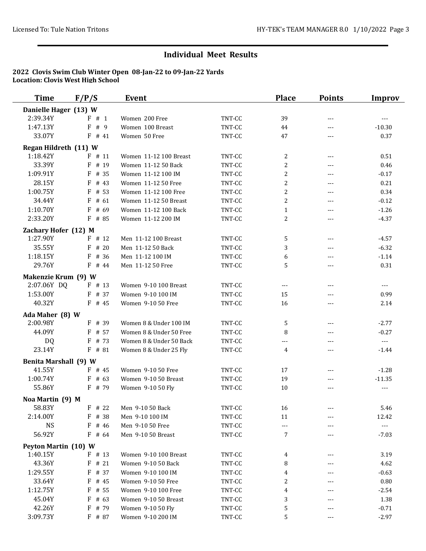| <b>Time</b>                  | F/P/S     | <b>Event</b>            |        | <b>Place</b>   | <b>Points</b>       | <b>Improv</b>         |
|------------------------------|-----------|-------------------------|--------|----------------|---------------------|-----------------------|
| Danielle Hager (13) W        |           |                         |        |                |                     |                       |
| 2:39.34Y                     | F#1       | Women 200 Free          | TNT-CC | 39             | $\cdots$            | $\cdots$              |
| 1:47.13Y                     | F<br># 9  | Women 100 Breast        | TNT-CC | 44             | $---$               | $-10.30$              |
| 33.07Y                       | $F$ # 41  | Women 50 Free           | TNT-CC | 47             | $---$               | 0.37                  |
| Regan Hildreth (11) W        |           |                         |        |                |                     |                       |
| 1:18.42Y                     | $F$ # 11  | Women 11-12 100 Breast  | TNT-CC | 2              | $\cdots$            | 0.51                  |
| 33.39Y                       | $F$ # 19  | Women 11-12 50 Back     | TNT-CC | $\overline{c}$ | ---                 | 0.46                  |
| 1:09.91Y                     | $F$ # 35  | Women 11-12 100 IM      | TNT-CC | $\overline{c}$ | $---$               | $-0.17$               |
| 28.15Y                       | F<br># 43 | Women 11-12 50 Free     | TNT-CC | $\overline{c}$ | $---$               | 0.21                  |
| 1:00.75Y                     | $F$ # 53  | Women 11-12 100 Free    | TNT-CC | $\overline{c}$ | $\cdots$            | 0.34                  |
| 34.44Y                       | F<br># 61 | Women 11-12 50 Breast   | TNT-CC | $\overline{c}$ | $---$               | $-0.12$               |
| 1:10.70Y                     | F<br># 69 | Women 11-12 100 Back    | TNT-CC | $\mathbf{1}$   | $\qquad \qquad - -$ | $-1.26$               |
| 2:33.20Y                     | F # 85    | Women 11-12 200 IM      | TNT-CC | $\overline{c}$ | $\qquad \qquad - -$ | $-4.37$               |
| Zachary Hofer (12) M         |           |                         |        |                |                     |                       |
| 1:27.90Y                     | $F$ # 12  | Men 11-12 100 Breast    | TNT-CC | 5              | $\cdots$            | $-4.57$               |
| 35.55Y                       | # 20<br>F | Men 11-12 50 Back       | TNT-CC | 3              | $---$               | $-6.32$               |
| 1:18.15Y                     | F<br># 36 | Men 11-12 100 IM        | TNT-CC | 6              | ---                 | $-1.14$               |
| 29.76Y                       | $F$ # 44  | Men 11-12 50 Free       | TNT-CC | 5              | $---$               | 0.31                  |
| Makenzie Krum (9) W          |           |                         |        |                |                     |                       |
| 2:07.06Y DQ                  | $F$ # 13  | Women 9-10 100 Breast   | TNT-CC | $\cdots$       | $\qquad \qquad - -$ | $\sim$ $\sim$ $\sim$  |
| 1:53.00Y                     | $F$ # 37  | Women 9-10 100 IM       | TNT-CC | 15             | $---$               | 0.99                  |
| 40.32Y                       | $F$ # 45  | Women 9-10 50 Free      | TNT-CC | 16             | $---$               | 2.14                  |
| Ada Maher (8) W              |           |                         |        |                |                     |                       |
| 2:00.98Y                     | $F$ # 39  | Women 8 & Under 100 IM  | TNT-CC | 5              | $\cdots$            | $-2.77$               |
| 44.09Y                       | $F$ # 57  | Women 8 & Under 50 Free | TNT-CC | 8              | $---$               | $-0.27$               |
| <b>DQ</b>                    | $F$ # 73  | Women 8 & Under 50 Back | TNT-CC | ---            | $---$               | $\sim$ $\sim$ $\sim$  |
| 23.14Y                       | $F$ # 81  | Women 8 & Under 25 Fly  | TNT-CC | 4              | $---$               | $-1.44$               |
| <b>Benita Marshall (9) W</b> |           |                         |        |                |                     |                       |
| 41.55Y                       | $F$ # 45  | Women 9-10 50 Free      | TNT-CC | 17             | $---$               | $-1.28$               |
| 1:00.74Y                     | $F$ # 63  | Women 9-10 50 Breast    | TNT-CC | 19             |                     | $-11.35$              |
| 55.86Y                       | $F$ # 79  | Women 9-10 50 Fly       | TNT-CC | 10             | $- - -$             | $\overline{a}$        |
| Noa Martin (9) M             |           |                         |        |                |                     |                       |
| 58.83Y                       | F # 22    | Men 9-10 50 Back        | TNT-CC | 16             |                     | 5.46                  |
| 2:14.00Y                     | F<br># 38 | Men 9-10 100 IM         | TNT-CC | 11             |                     | 12.42                 |
| <b>NS</b>                    | $F$ # 46  | Men 9-10 50 Free        | TNT-CC | $---$          |                     | $\scriptstyle \cdots$ |
| 56.92Y                       | $F$ # 64  | Men 9-10 50 Breast      | TNT-CC | 7              |                     | $-7.03$               |
| Peyton Martin (10) W         |           |                         |        |                |                     |                       |
| 1:40.15Y                     | $F$ # 13  | Women 9-10 100 Breast   | TNT-CC | 4              |                     | 3.19                  |
| 43.36Y                       | $F$ # 21  | Women 9-10 50 Back      | TNT-CC | 8              | ---                 | 4.62                  |
| 1:29.55Y                     | F<br># 37 | Women 9-10 100 IM       | TNT-CC | 4              |                     | $-0.63$               |
| 33.64Y                       | F<br># 45 | Women 9-10 50 Free      | TNT-CC | $\mathbf{2}$   | ---                 | 0.80                  |
| 1:12.75Y                     | $F$ # 55  | Women 9-10 100 Free     | TNT-CC | 4              |                     | $-2.54$               |
| 45.04Y                       | $F$ # 63  | Women 9-10 50 Breast    | TNT-CC | 3              |                     | 1.38                  |
| 42.26Y                       | $F$ # 79  | Women 9-10 50 Fly       | TNT-CC | 5              |                     | $-0.71$               |
| 3:09.73Y                     | $F$ # 87  | Women 9-10 200 IM       | TNT-CC | 5              | $\qquad \qquad - -$ | $-2.97$               |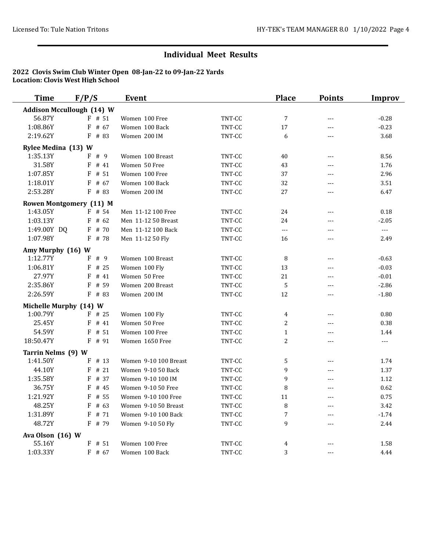| <b>Time</b>            | F/P/S                            | Event                             |                  | <b>Place</b>   | <b>Points</b>  | <b>Improv</b>  |
|------------------------|----------------------------------|-----------------------------------|------------------|----------------|----------------|----------------|
|                        | <b>Addison Mccullough (14) W</b> |                                   |                  |                |                |                |
| 56.87Y                 | $F$ # 51                         | Women 100 Free                    | TNT-CC           | $\overline{7}$ | $---$          | $-0.28$        |
| 1:08.86Y               | $F$ # 67                         | Women 100 Back                    | TNT-CC           | 17             | $- - -$        | $-0.23$        |
| 2:19.62Y               | F # 83                           | Women 200 IM                      | TNT-CC           | 6              | ---            | 3.68           |
| Rylee Medina (13) W    |                                  |                                   |                  |                |                |                |
| 1:35.13Y               | F#9                              | Women 100 Breast                  | TNT-CC           | 40             | $---$          | 8.56           |
| 31.58Y                 | $F$ # 41                         | Women 50 Free                     | TNT-CC           | 43             | ---            | 1.76           |
| 1:07.85Y               | # 51<br>F                        | Women 100 Free                    | TNT-CC           | 37             | $---$          | 2.96           |
| 1:18.01Y               | $F$ # 67                         | Women 100 Back                    | TNT-CC           | 32             | ---            | 3.51           |
| 2:53.28Y               | $F$ # 83                         | Women 200 IM                      | TNT-CC           | 27             | ---            | 6.47           |
|                        | Rowen Montgomery (11) M          |                                   |                  |                |                |                |
| 1:43.05Y               | $F$ # 54                         | Men 11-12 100 Free                | TNT-CC           | 24             | $---$          | 0.18           |
| 1:03.13Y               | $F$ # 62                         | Men 11-12 50 Breast               | TNT-CC           | 24             | ---            | $-2.05$        |
| 1:49.00Y DQ            | F # 70                           | Men 11-12 100 Back                | TNT-CC           | $---$          | $- - -$        | $\overline{a}$ |
| 1:07.98Y               | F # 78                           | Men 11-12 50 Fly                  | TNT-CC           | 16             | $- - -$        | 2.49           |
|                        |                                  |                                   |                  |                |                |                |
| Amy Murphy (16) W      |                                  |                                   |                  |                |                |                |
| 1:12.77Y<br>1:06.81Y   | # 9<br>F                         | Women 100 Breast                  | TNT-CC           | 8<br>13        | ---            | $-0.63$        |
| 27.97Y                 | $F$ # 25<br>$F$ # 41             | Women 100 Fly                     | TNT-CC           | 21             | $---$          | $-0.03$        |
| 2:35.86Y               | $F$ # 59                         | Women 50 Free<br>Women 200 Breast | TNT-CC<br>TNT-CC | 5              | $---$<br>---   | $-0.01$        |
| 2:26.59Y               | $F$ # 83                         | Women 200 IM                      | TNT-CC           | 12             | ---            | $-2.86$        |
|                        |                                  |                                   |                  |                |                | $-1.80$        |
| Michelle Murphy (14) W |                                  |                                   |                  |                |                |                |
| 1:00.79Y               | $F$ # 25                         | Women 100 Fly                     | TNT-CC           | 4              | $---$          | 0.80           |
| 25.45Y                 | $F$ # 41                         | Women 50 Free                     | TNT-CC           | $\overline{c}$ | ---            | 0.38           |
| 54.59Y                 | $F$ # 51                         | Women 100 Free                    | TNT-CC           | $\mathbf{1}$   | ---            | 1.44           |
| 18:50.47Y              | $F$ # 91                         | Women 1650 Free                   | TNT-CC           | $\overline{2}$ | $\overline{a}$ | $\overline{a}$ |
| Tarrin Nelms (9) W     |                                  |                                   |                  |                |                |                |
| 1:41.50Y               | $F$ # 13                         | Women 9-10 100 Breast             | TNT-CC           | 5              | ---            | 1.74           |
| 44.10Y                 | #21<br>F                         | Women 9-10 50 Back                | TNT-CC           | 9              | $---$          | 1.37           |
| 1:35.58Y               | F<br># 37                        | Women 9-10 100 IM                 | TNT-CC           | 9              | $- - -$        | 1.12           |
| 36.75Y                 | F<br># 45                        | Women 9-10 50 Free                | TNT-CC           | 8              | $---$          | 0.62           |
| 1:21.92Y               | F<br># 55                        | Women 9-10 100 Free               | TNT-CC           | 11             | ---            | 0.75           |
| 48.25Y                 | F<br># 63                        | Women 9-10 50 Breast              | TNT-CC           | 8              | $---$          | 3.42           |
| 1:31.89Y               | F<br># 71                        | Women 9-10 100 Back               | TNT-CC           | 7              | $---$          | $-1.74$        |
| 48.72Y                 | F # 79                           | Women 9-10 50 Fly                 | TNT-CC           | 9              | $\overline{a}$ | 2.44           |
| Ava Olson (16) W       |                                  |                                   |                  |                |                |                |
| 55.16Y                 | $F$ # 51                         | Women 100 Free                    | TNT-CC           | 4              | $ -$           | 1.58           |
| 1:03.33Y               | $F$ # 67                         | Women 100 Back                    | TNT-CC           | 3              | $- - -$        | 4.44           |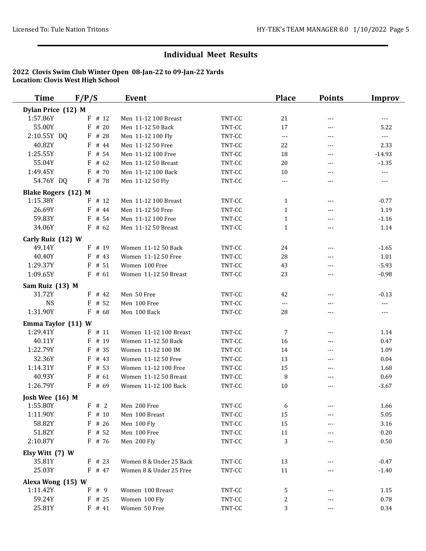| <b>Time</b>                   | F/P/S     | Event                   |                  | <b>Place</b>             | <b>Points</b> | Improv              |
|-------------------------------|-----------|-------------------------|------------------|--------------------------|---------------|---------------------|
| Dylan Price (12) M            |           |                         |                  |                          |               |                     |
| 1:57.86Y                      | # 12<br>F | Men 11-12 100 Breast    | TNT-CC           | 21                       | ---           | $\qquad \qquad - -$ |
| 55.00Y                        | F<br># 20 | Men 11-12 50 Back       | TNT-CC           | 17                       | ---           | 5.22                |
| 2:10.55Y DQ                   | $F$ # 28  | Men 11-12 100 Fly       | TNT-CC           | $\overline{\phantom{a}}$ | ---           | <b></b>             |
| 40.82Y                        | $F$ # 44  | Men 11-12 50 Free       | TNT-CC           | 22                       | ---           | 2.33                |
| 1:25.55Y                      | F<br># 54 | Men 11-12 100 Free      | TNT-CC           | 18                       | $---$         | $-14.93$            |
| 55.04Y                        | F<br>#62  | Men 11-12 50 Breast     | TNT-CC           | 20                       | ---           | $-1.35$             |
| 1:49.45Y                      | # 70<br>F | Men 11-12 100 Back      | TNT-CC           | 10                       | $- - -$       | <b></b>             |
| 54.76Y DQ                     | $F$ # 78  | Men 11-12 50 Fly        | TNT-CC           | $---$                    | $---$         | $---$               |
| <b>Blake Rogers (12) M</b>    |           |                         |                  |                          |               |                     |
| 1:15.38Y                      | $F$ # 12  | Men 11-12 100 Breast    | TNT-CC           | $\mathbf 1$              | $---$         | $-0.77$             |
| 26.69Y                        | F<br># 44 | Men 11-12 50 Free       | TNT-CC           | $\mathbf{1}$             | $---$         | 1.19                |
| 59.83Y                        | F<br># 54 | Men 11-12 100 Free      | TNT-CC           | $\mathbf{1}$             | $---$         | $-1.16$             |
| 34.06Y                        | $F$ # 62  | Men 11-12 50 Breast     | TNT-CC           | $\mathbf{1}$             | $---$         | 1.14                |
| Carly Ruiz (12) W             |           |                         |                  |                          |               |                     |
| 49.14Y                        | $F$ # 19  | Women 11-12 50 Back     | TNT-CC           | 24                       | $\cdots$      | $-1.65$             |
| 40.40Y                        | F<br># 43 | Women 11-12 50 Free     | TNT-CC           | 28                       | $- - -$       | 1.01                |
| 1:29.37Y                      | $F$ # 51  | Women 100 Free          | TNT-CC           | 43                       | ---           | $-5.93$             |
| 1:09.65Y                      | $F$ # 61  | Women 11-12 50 Breast   | TNT-CC           | 23                       | $---$         | $-0.98$             |
| Sam Ruiz (13) M               |           |                         |                  |                          |               |                     |
| 31.72Y                        | $F$ # 42  | Men 50 Free             | TNT-CC           | 42                       | ---           | $-0.13$             |
| <b>NS</b>                     | $F$ # 52  | Men 100 Free            | TNT-CC           | ---                      | $---$         | ---                 |
| 1:31.90Y                      | $F$ # 68  | Men 100 Back            | TNT-CC           | 28                       | ---           | $\cdots$            |
| Emma Taylor (11) W            |           |                         |                  |                          |               |                     |
| 1:29.41Y                      | $F$ # 11  | Women 11-12 100 Breast  | TNT-CC           | 7                        | $---$         | 1.14                |
| 40.11Y                        | $F$ # 19  | Women 11-12 50 Back     | TNT-CC           | 16                       | $---$         | 0.47                |
| 1:22.79Y                      | $F$ # 35  | Women 11-12 100 IM      | TNT-CC           | 14                       | $---$         | 1.09                |
| 32.36Y                        | $F$ # 43  | Women 11-12 50 Free     | TNT-CC           | 13                       | $---$         | 0.04                |
| 1:14.31Y                      | # 53<br>F | Women 11-12 100 Free    | TNT-CC           | 15                       | $---$         | 1.68                |
| 40.93Y                        | # 61<br>F | Women 11-12 50 Breast   | TNT-CC           | 8                        | ---           | 0.69                |
| 1:26.79Y                      | $F$ # 69  | Women 11-12 100 Back    | TNT-CC           | 10                       | $---$         | $-3.67$             |
| Josh Wee (16) M               |           |                         |                  |                          |               |                     |
| 1:55.80Y                      | F # 2     | Men 200 Free            | TNT-CC           | 6                        | ---           | 1.66                |
| 1:11.90Y                      | F<br># 10 | Men 100 Breast          | TNT-CC           | 15                       | ---           | 5.05                |
| 58.82Y                        | $F$ # 26  | Men 100 Fly             | TNT-CC           | 15                       |               | 3.16                |
| 51.82Y                        | $F$ # 52  | Men 100 Free            | TNT-CC           | 11                       |               | 0.20                |
| 2:10.87Y                      | F # 76    | Men 200 Fly             | TNT-CC           | 3                        |               | 0.50                |
| Elsy Witt (7) W               |           |                         |                  |                          |               |                     |
| 35.81Y                        | $F$ # 23  | Women 8 & Under 25 Back | TNT-CC           | 13                       |               | $-0.47$             |
| 25.03Y                        | $F$ # 47  | Women 8 & Under 25 Free | TNT-CC           | 11                       |               | $-1.40$             |
|                               |           |                         |                  |                          |               |                     |
| Alexa Wong (15) W<br>1:11.42Y | # 9<br>F  | Women 100 Breast        |                  |                          |               |                     |
| 59.24Y                        | $F$ # 25  | Women 100 Fly           | TNT-CC<br>TNT-CC | 5<br>2                   | ---           | 1.15<br>0.78        |
| 25.81Y                        | $F$ # 41  | Women 50 Free           | TNT-CC           | 3                        |               | 0.34                |
|                               |           |                         |                  |                          | ---           |                     |